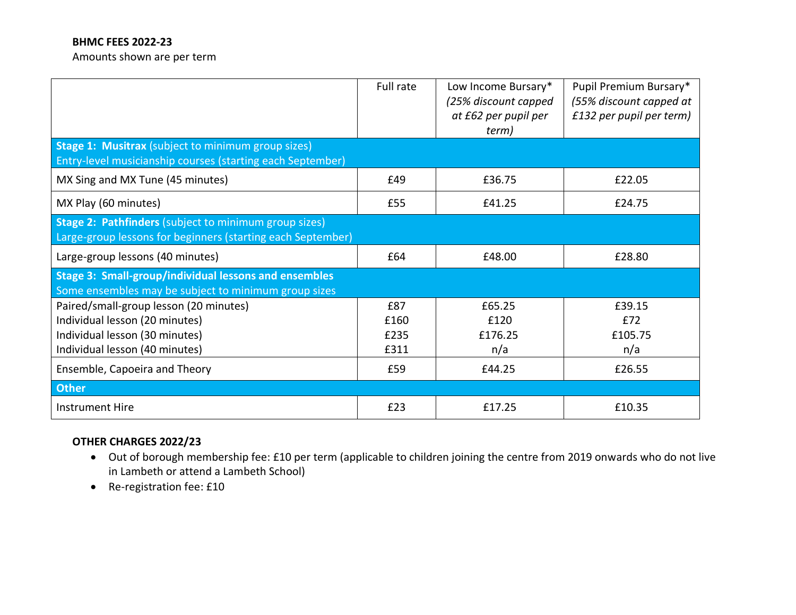## **BHMC FEES 2022-23**

Amounts shown are per term

|                                                                                                                      | Full rate | Low Income Bursary*<br>(25% discount capped<br>at £62 per pupil per<br>term) | Pupil Premium Bursary*<br>(55% discount capped at<br>£132 per pupil per term) |
|----------------------------------------------------------------------------------------------------------------------|-----------|------------------------------------------------------------------------------|-------------------------------------------------------------------------------|
| Stage 1: Musitrax (subject to minimum group sizes)<br>Entry-level musicianship courses (starting each September)     |           |                                                                              |                                                                               |
| MX Sing and MX Tune (45 minutes)                                                                                     | £49       | £36.75                                                                       | £22.05                                                                        |
| MX Play (60 minutes)                                                                                                 | £55       | £41.25                                                                       | £24.75                                                                        |
| Stage 2: Pathfinders (subject to minimum group sizes)<br>Large-group lessons for beginners (starting each September) |           |                                                                              |                                                                               |
| Large-group lessons (40 minutes)                                                                                     | £64       | £48.00                                                                       | £28.80                                                                        |
| <b>Stage 3: Small-group/individual lessons and ensembles</b><br>Some ensembles may be subject to minimum group sizes |           |                                                                              |                                                                               |
| Paired/small-group lesson (20 minutes)                                                                               | £87       | £65.25                                                                       | £39.15                                                                        |
| Individual lesson (20 minutes)                                                                                       | £160      | £120                                                                         | £72                                                                           |
| Individual lesson (30 minutes)                                                                                       | £235      | £176.25                                                                      | £105.75                                                                       |
| Individual lesson (40 minutes)                                                                                       | £311      | n/a                                                                          | n/a                                                                           |
| Ensemble, Capoeira and Theory                                                                                        | £59       | £44.25                                                                       | £26.55                                                                        |
| <b>Other</b>                                                                                                         |           |                                                                              |                                                                               |
| <b>Instrument Hire</b>                                                                                               | £23       | £17.25                                                                       | £10.35                                                                        |

# **OTHER CHARGES 2022/23**

- Out of borough membership fee: £10 per term (applicable to children joining the centre from 2019 onwards who do not live in Lambeth or attend a Lambeth School)
- Re-registration fee: £10